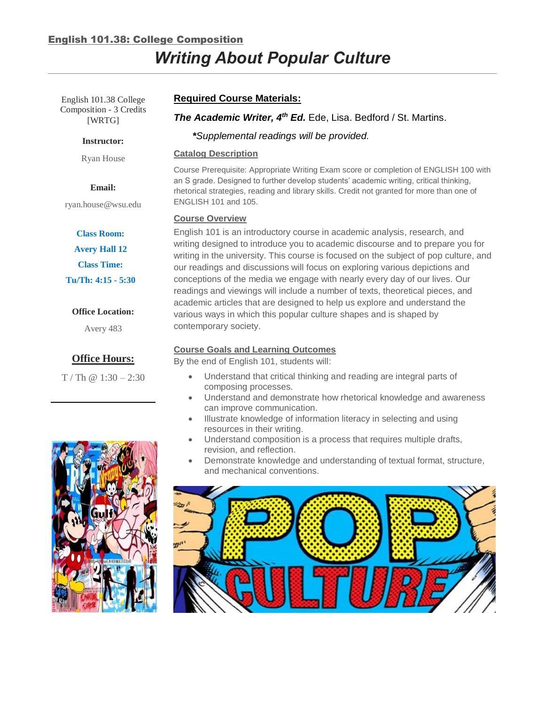# English 101.38: College Composition

# *Writing About Popular Culture*

English 101.38 College Composition - 3 Credits [WRTG]

#### **Instructor:**

Ryan House

#### **Email:**

ryan.house@wsu.edu

#### **Class Room:**

**Avery Hall 12 Class Time: Tu/Th: 4:15 - 5:30**

#### **Office Location:**

Avery 483

# **Office Hours:**

 $T / Th @ 1:30 - 2:30$ 



# *The Academic Writer, 4<sup>th</sup> Ed.* Ede, Lisa. Bedford / St. Martins.

*\*Supplemental readings will be provided.*

#### **Catalog Description**

Course Prerequisite: Appropriate Writing Exam score or completion of ENGLISH 100 with an S grade. Designed to further develop students' academic writing, critical thinking, rhetorical strategies, reading and library skills. Credit not granted for more than one of ENGLISH 101 and 105.

#### **Course Overview**

English 101 is an introductory course in academic analysis, research, and writing designed to introduce you to academic discourse and to prepare you for writing in the university. This course is focused on the subject of pop culture, and our readings and discussions will focus on exploring various depictions and conceptions of the media we engage with nearly every day of our lives. Our readings and viewings will include a number of texts, theoretical pieces, and academic articles that are designed to help us explore and understand the various ways in which this popular culture shapes and is shaped by contemporary society.

### **Course Goals and Learning Outcomes**

By the end of English 101, students will:

- Understand that critical thinking and reading are integral parts of composing processes.
- Understand and demonstrate how rhetorical knowledge and awareness can improve communication.
- Illustrate knowledge of information literacy in selecting and using resources in their writing.
- Understand composition is a process that requires multiple drafts, revision, and reflection.
- Demonstrate knowledge and understanding of textual format, structure, and mechanical conventions.



# **Required Course Materials:**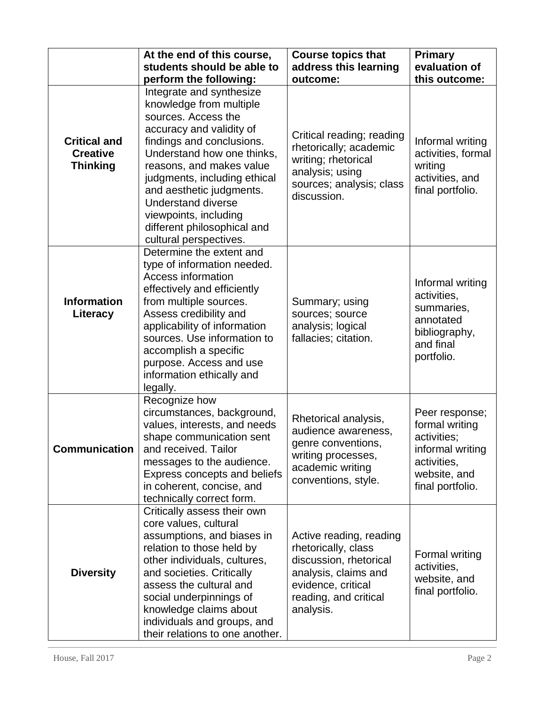|                                                           | At the end of this course,                                                                                                                                                                                                                                                                                                                                               | <b>Course topics that</b>                                                                                                                                    | Primary                                                                                                                |
|-----------------------------------------------------------|--------------------------------------------------------------------------------------------------------------------------------------------------------------------------------------------------------------------------------------------------------------------------------------------------------------------------------------------------------------------------|--------------------------------------------------------------------------------------------------------------------------------------------------------------|------------------------------------------------------------------------------------------------------------------------|
|                                                           | students should be able to                                                                                                                                                                                                                                                                                                                                               | address this learning                                                                                                                                        | evaluation of                                                                                                          |
|                                                           |                                                                                                                                                                                                                                                                                                                                                                          | outcome:                                                                                                                                                     | this outcome:                                                                                                          |
|                                                           | perform the following:                                                                                                                                                                                                                                                                                                                                                   |                                                                                                                                                              |                                                                                                                        |
| <b>Critical and</b><br><b>Creative</b><br><b>Thinking</b> | Integrate and synthesize<br>knowledge from multiple<br>sources. Access the<br>accuracy and validity of<br>findings and conclusions.<br>Understand how one thinks,<br>reasons, and makes value<br>judgments, including ethical<br>and aesthetic judgments.<br><b>Understand diverse</b><br>viewpoints, including<br>different philosophical and<br>cultural perspectives. | Critical reading; reading<br>rhetorically; academic<br>writing; rhetorical<br>analysis; using<br>sources; analysis; class<br>discussion.                     | Informal writing<br>activities, formal<br>writing<br>activities, and<br>final portfolio.                               |
| <b>Information</b><br>Literacy                            | Determine the extent and<br>type of information needed.<br>Access information<br>effectively and efficiently<br>from multiple sources.<br>Assess credibility and<br>applicability of information<br>sources. Use information to<br>accomplish a specific<br>purpose. Access and use<br>information ethically and<br>legally.                                             | Summary; using<br>sources; source<br>analysis; logical<br>fallacies; citation.                                                                               | Informal writing<br>activities,<br>summaries,<br>annotated<br>bibliography,<br>and final<br>portfolio.                 |
| <b>Communication</b>                                      | Recognize how<br>circumstances, background,<br>values, interests, and needs<br>shape communication sent<br>and received. Tailor<br>messages to the audience.<br>Express concepts and beliefs<br>in coherent, concise, and<br>technically correct form.                                                                                                                   | Rhetorical analysis,<br>audience awareness,<br>genre conventions,<br>writing processes,<br>academic writing<br>conventions, style.                           | Peer response;<br>formal writing<br>activities;<br>informal writing<br>activities,<br>website, and<br>final portfolio. |
| <b>Diversity</b>                                          | Critically assess their own<br>core values, cultural<br>assumptions, and biases in<br>relation to those held by<br>other individuals, cultures,<br>and societies. Critically<br>assess the cultural and<br>social underpinnings of<br>knowledge claims about<br>individuals and groups, and<br>their relations to one another.                                           | Active reading, reading<br>rhetorically, class<br>discussion, rhetorical<br>analysis, claims and<br>evidence, critical<br>reading, and critical<br>analysis. | Formal writing<br>activities,<br>website, and<br>final portfolio.                                                      |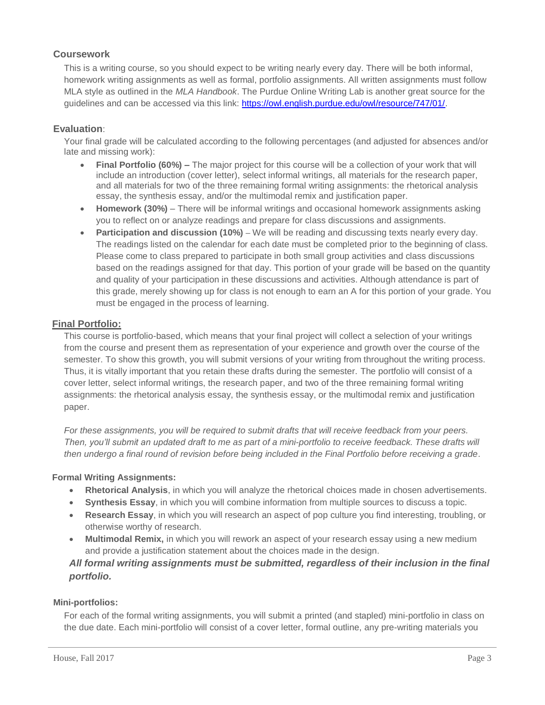# **Coursework**

This is a writing course, so you should expect to be writing nearly every day. There will be both informal, homework writing assignments as well as formal, portfolio assignments. All written assignments must follow MLA style as outlined in the *MLA Handbook*. The Purdue Online Writing Lab is another great source for the guidelines and can be accessed via this link: [https://owl.english.purdue.edu/owl/resource/747/01/.](https://owl.english.purdue.edu/owl/resource/747/01/)

# **Evaluation**:

Your final grade will be calculated according to the following percentages (and adjusted for absences and/or late and missing work):

- **Final Portfolio (60%) –** The major project for this course will be a collection of your work that will include an introduction (cover letter), select informal writings, all materials for the research paper, and all materials for two of the three remaining formal writing assignments: the rhetorical analysis essay, the synthesis essay, and/or the multimodal remix and justification paper.
- **Homework (30%)** There will be informal writings and occasional homework assignments asking you to reflect on or analyze readings and prepare for class discussions and assignments.
- **Participation and discussion (10%) We will be reading and discussing texts nearly every day.** The readings listed on the calendar for each date must be completed prior to the beginning of class. Please come to class prepared to participate in both small group activities and class discussions based on the readings assigned for that day. This portion of your grade will be based on the quantity and quality of your participation in these discussions and activities. Although attendance is part of this grade, merely showing up for class is not enough to earn an A for this portion of your grade. You must be engaged in the process of learning.

# **Final Portfolio:**

This course is portfolio-based, which means that your final project will collect a selection of your writings from the course and present them as representation of your experience and growth over the course of the semester. To show this growth, you will submit versions of your writing from throughout the writing process. Thus, it is vitally important that you retain these drafts during the semester. The portfolio will consist of a cover letter, select informal writings, the research paper, and two of the three remaining formal writing assignments: the rhetorical analysis essay, the synthesis essay, or the multimodal remix and justification paper.

*For these assignments, you will be required to submit drafts that will receive feedback from your peers. Then, you'll submit an updated draft to me as part of a mini-portfolio to receive feedback. These drafts will then undergo a final round of revision before being included in the Final Portfolio before receiving a grade.*

# **Formal Writing Assignments:**

- **Rhetorical Analysis**, in which you will analyze the rhetorical choices made in chosen advertisements.
- **Synthesis Essay**, in which you will combine information from multiple sources to discuss a topic.
- **Research Essay**, in which you will research an aspect of pop culture you find interesting, troubling, or otherwise worthy of research.
- **Multimodal Remix,** in which you will rework an aspect of your research essay using a new medium and provide a justification statement about the choices made in the design.

# *All formal writing assignments must be submitted, regardless of their inclusion in the final portfolio.*

# **Mini-portfolios:**

For each of the formal writing assignments, you will submit a printed (and stapled) mini-portfolio in class on the due date. Each mini-portfolio will consist of a cover letter, formal outline, any pre-writing materials you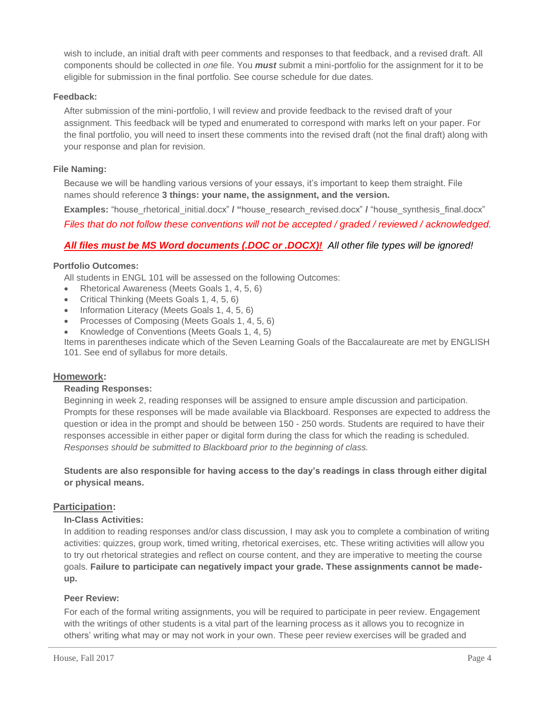wish to include, an initial draft with peer comments and responses to that feedback, and a revised draft. All components should be collected in *one* file. You *must* submit a mini-portfolio for the assignment for it to be eligible for submission in the final portfolio. See course schedule for due dates.

# **Feedback:**

After submission of the mini-portfolio, I will review and provide feedback to the revised draft of your assignment. This feedback will be typed and enumerated to correspond with marks left on your paper. For the final portfolio, you will need to insert these comments into the revised draft (not the final draft) along with your response and plan for revision.

#### **File Naming:**

Because we will be handling various versions of your essays, it's important to keep them straight. File names should reference **3 things: your name, the assignment, and the version.**

**Examples:** "house\_rhetorical\_initial.docx" **/ "**house\_research\_revised.docx" **/** "house\_synthesis\_final.docx"

*Files that do not follow these conventions will not be accepted / graded / reviewed / acknowledged.*

# *All files must be MS Word documents (.DOC or .DOCX)! All other file types will be ignored!*

#### **Portfolio Outcomes:**

All students in ENGL 101 will be assessed on the following Outcomes:

- Rhetorical Awareness (Meets Goals 1, 4, 5, 6)
- Critical Thinking (Meets Goals 1, 4, 5, 6)
- Information Literacy (Meets Goals 1, 4, 5, 6)
- Processes of Composing (Meets Goals 1, 4, 5, 6)
- Knowledge of Conventions (Meets Goals 1, 4, 5)

Items in parentheses indicate which of the Seven Learning Goals of the Baccalaureate are met by ENGLISH 101. See end of syllabus for more details.

#### **Homework:**

#### **Reading Responses:**

Beginning in week 2, reading responses will be assigned to ensure ample discussion and participation. Prompts for these responses will be made available via Blackboard. Responses are expected to address the question or idea in the prompt and should be between 150 - 250 words. Students are required to have their responses accessible in either paper or digital form during the class for which the reading is scheduled. *Responses should be submitted to Blackboard prior to the beginning of class.*

**Students are also responsible for having access to the day's readings in class through either digital or physical means.**

# **Participation:**

#### **In-Class Activities:**

In addition to reading responses and/or class discussion, I may ask you to complete a combination of writing activities: quizzes, group work, timed writing, rhetorical exercises, etc. These writing activities will allow you to try out rhetorical strategies and reflect on course content, and they are imperative to meeting the course goals. **Failure to participate can negatively impact your grade. These assignments cannot be madeup.**

#### **Peer Review:**

For each of the formal writing assignments, you will be required to participate in peer review. Engagement with the writings of other students is a vital part of the learning process as it allows you to recognize in others' writing what may or may not work in your own. These peer review exercises will be graded and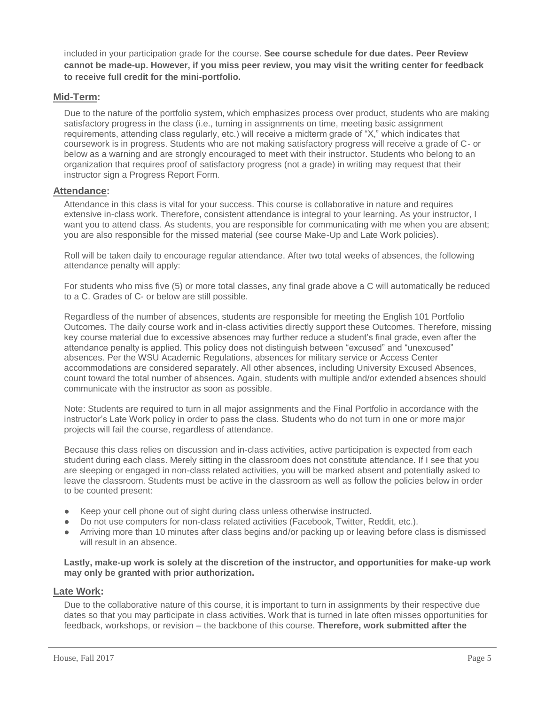included in your participation grade for the course. **See course schedule for due dates. Peer Review cannot be made-up. However, if you miss peer review, you may visit the writing center for feedback to receive full credit for the mini-portfolio.**

# **Mid-Term:**

Due to the nature of the portfolio system, which emphasizes process over product, students who are making satisfactory progress in the class (i.e., turning in assignments on time, meeting basic assignment requirements, attending class regularly, etc.) will receive a midterm grade of "X," which indicates that coursework is in progress. Students who are not making satisfactory progress will receive a grade of C- or below as a warning and are strongly encouraged to meet with their instructor. Students who belong to an organization that requires proof of satisfactory progress (not a grade) in writing may request that their instructor sign a Progress Report Form.

# **Attendance:**

Attendance in this class is vital for your success. This course is collaborative in nature and requires extensive in-class work. Therefore, consistent attendance is integral to your learning. As your instructor, I want you to attend class. As students, you are responsible for communicating with me when you are absent; you are also responsible for the missed material (see course Make-Up and Late Work policies).

Roll will be taken daily to encourage regular attendance. After two total weeks of absences, the following attendance penalty will apply:

For students who miss five (5) or more total classes, any final grade above a C will automatically be reduced to a C. Grades of C- or below are still possible.

Regardless of the number of absences, students are responsible for meeting the English 101 Portfolio Outcomes. The daily course work and in-class activities directly support these Outcomes. Therefore, missing key course material due to excessive absences may further reduce a student's final grade, even after the attendance penalty is applied. This policy does not distinguish between "excused" and "unexcused" absences. Per the WSU Academic Regulations, absences for military service or Access Center accommodations are considered separately. All other absences, including University Excused Absences, count toward the total number of absences. Again, students with multiple and/or extended absences should communicate with the instructor as soon as possible.

Note: Students are required to turn in all major assignments and the Final Portfolio in accordance with the instructor's Late Work policy in order to pass the class. Students who do not turn in one or more major projects will fail the course, regardless of attendance.

Because this class relies on discussion and in-class activities, active participation is expected from each student during each class. Merely sitting in the classroom does not constitute attendance. If I see that you are sleeping or engaged in non-class related activities, you will be marked absent and potentially asked to leave the classroom. Students must be active in the classroom as well as follow the policies below in order to be counted present:

- Keep your cell phone out of sight during class unless otherwise instructed.
- Do not use computers for non-class related activities (Facebook, Twitter, Reddit, etc.).
- Arriving more than 10 minutes after class begins and/or packing up or leaving before class is dismissed will result in an absence.

**Lastly, make-up work is solely at the discretion of the instructor, and opportunities for make-up work may only be granted with prior authorization.** 

# **Late Work:**

Due to the collaborative nature of this course, it is important to turn in assignments by their respective due dates so that you may participate in class activities. Work that is turned in late often misses opportunities for feedback, workshops, or revision – the backbone of this course. **Therefore, work submitted after the**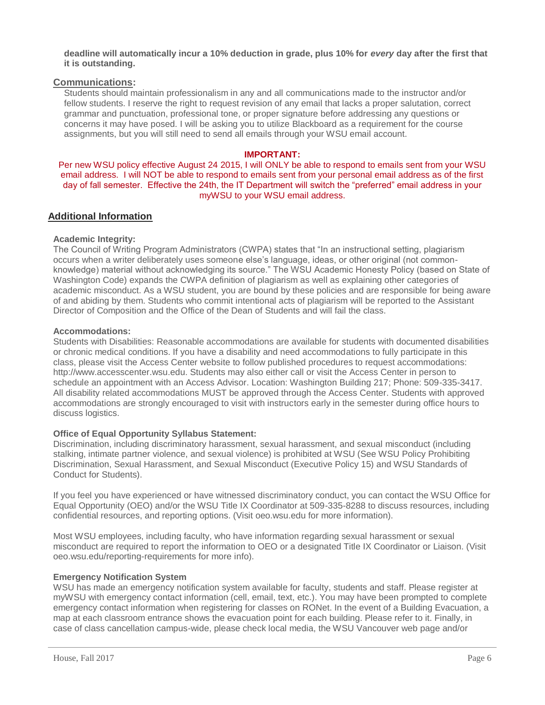**deadline will automatically incur a 10% deduction in grade, plus 10% for** *every* **day after the first that it is outstanding.**

#### **Communications:**

Students should maintain professionalism in any and all communications made to the instructor and/or fellow students. I reserve the right to request revision of any email that lacks a proper salutation, correct grammar and punctuation, professional tone, or proper signature before addressing any questions or concerns it may have posed. I will be asking you to utilize Blackboard as a requirement for the course assignments, but you will still need to send all emails through your WSU email account.

#### **IMPORTANT:**

Per new WSU policy effective August 24 2015, I will ONLY be able to respond to emails sent from your WSU email address. I will NOT be able to respond to emails sent from your personal email address as of the first day of fall semester. Effective the 24th, the IT Department will switch the "preferred" email address in your myWSU to your WSU email address.

# **Additional Information**

#### **Academic Integrity:**

The Council of Writing Program Administrators (CWPA) states that "In an instructional setting, plagiarism occurs when a writer deliberately uses someone else's language, ideas, or other original (not commonknowledge) material without acknowledging its source." The WSU Academic Honesty Policy (based on State of Washington Code) expands the CWPA definition of plagiarism as well as explaining other categories of academic misconduct. As a WSU student, you are bound by these policies and are responsible for being aware of and abiding by them. Students who commit intentional acts of plagiarism will be reported to the Assistant Director of Composition and the Office of the Dean of Students and will fail the class.

#### **Accommodations:**

Students with Disabilities: Reasonable accommodations are available for students with documented disabilities or chronic medical conditions. If you have a disability and need accommodations to fully participate in this class, please visit the Access Center website to follow published procedures to request accommodations: http://www.accesscenter.wsu.edu. Students may also either call or visit the Access Center in person to schedule an appointment with an Access Advisor. Location: Washington Building 217; Phone: 509-335-3417. All disability related accommodations MUST be approved through the Access Center. Students with approved accommodations are strongly encouraged to visit with instructors early in the semester during office hours to discuss logistics.

#### **Office of Equal Opportunity Syllabus Statement:**

Discrimination, including discriminatory harassment, sexual harassment, and sexual misconduct (including stalking, intimate partner violence, and sexual violence) is prohibited at WSU (See WSU Policy Prohibiting Discrimination, Sexual Harassment, and Sexual Misconduct (Executive Policy 15) and WSU Standards of Conduct for Students).

If you feel you have experienced or have witnessed discriminatory conduct, you can contact the WSU Office for Equal Opportunity (OEO) and/or the WSU Title IX Coordinator at 509-335-8288 to discuss resources, including confidential resources, and reporting options. (Visit oeo.wsu.edu for more information).

Most WSU employees, including faculty, who have information regarding sexual harassment or sexual misconduct are required to report the information to OEO or a designated Title IX Coordinator or Liaison. (Visit oeo.wsu.edu/reporting-requirements for more info).

#### **Emergency Notification System**

WSU has made an emergency notification system available for faculty, students and staff. Please register at myWSU with emergency contact information (cell, email, text, etc.). You may have been prompted to complete emergency contact information when registering for classes on RONet. In the event of a Building Evacuation, a map at each classroom entrance shows the evacuation point for each building. Please refer to it. Finally, in case of class cancellation campus-wide, please check local media, the WSU Vancouver web page and/or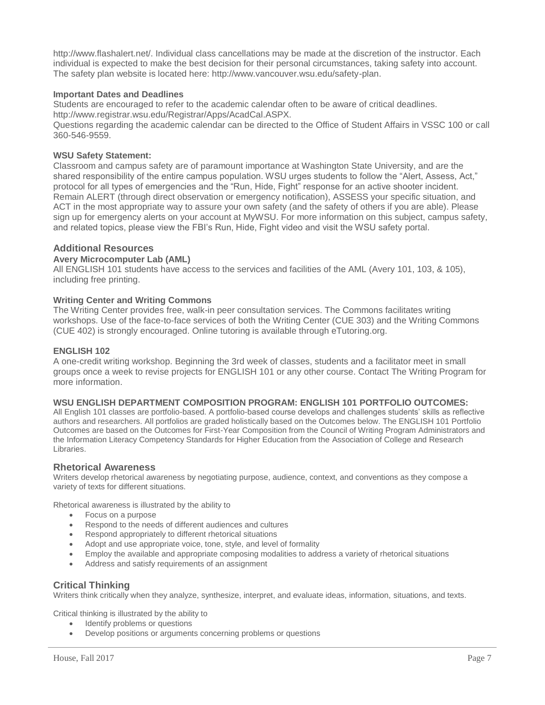http://www.flashalert.net/. Individual class cancellations may be made at the discretion of the instructor. Each individual is expected to make the best decision for their personal circumstances, taking safety into account. The safety plan website is located here: http://www.vancouver.wsu.edu/safety-plan.

#### **Important Dates and Deadlines**

Students are encouraged to refer to the academic calendar often to be aware of critical deadlines.

http://www.registrar.wsu.edu/Registrar/Apps/AcadCal.ASPX.

Questions regarding the academic calendar can be directed to the Office of Student Affairs in VSSC 100 or call 360-546-9559.

#### **WSU Safety Statement:**

Classroom and campus safety are of paramount importance at Washington State University, and are the shared responsibility of the entire campus population. WSU urges students to follow the "Alert, Assess, Act," protocol for all types of emergencies and the "Run, Hide, Fight" response for an active shooter incident. Remain ALERT (through direct observation or emergency notification), ASSESS your specific situation, and ACT in the most appropriate way to assure your own safety (and the safety of others if you are able). Please sign up for emergency alerts on your account at MyWSU. For more information on this subject, campus safety, and related topics, please view the FBI's Run, Hide, Fight video and visit the WSU safety portal.

#### **Additional Resources**

#### **Avery Microcomputer Lab (AML)**

All ENGLISH 101 students have access to the services and facilities of the AML (Avery 101, 103, & 105), including free printing.

#### **Writing Center and Writing Commons**

The Writing Center provides free, walk-in peer consultation services. The Commons facilitates writing workshops. Use of the face-to-face services of both the Writing Center (CUE 303) and the Writing Commons (CUE 402) is strongly encouraged. Online tutoring is available through eTutoring.org.

#### **ENGLISH 102**

A one-credit writing workshop. Beginning the 3rd week of classes, students and a facilitator meet in small groups once a week to revise projects for ENGLISH 101 or any other course. Contact The Writing Program for more information.

#### **WSU ENGLISH DEPARTMENT COMPOSITION PROGRAM: ENGLISH 101 PORTFOLIO OUTCOMES:**

All English 101 classes are portfolio-based. A portfolio-based course develops and challenges students' skills as reflective authors and researchers. All portfolios are graded holistically based on the Outcomes below. The ENGLISH 101 Portfolio Outcomes are based on the Outcomes for First-Year Composition from the Council of Writing Program Administrators and the Information Literacy Competency Standards for Higher Education from the Association of College and Research Libraries.

#### **Rhetorical Awareness**

Writers develop rhetorical awareness by negotiating purpose, audience, context, and conventions as they compose a variety of texts for different situations.

Rhetorical awareness is illustrated by the ability to

- Focus on a purpose
- Respond to the needs of different audiences and cultures
- Respond appropriately to different rhetorical situations
- Adopt and use appropriate voice, tone, style, and level of formality
- Employ the available and appropriate composing modalities to address a variety of rhetorical situations
- Address and satisfy requirements of an assignment

# **Critical Thinking**

Writers think critically when they analyze, synthesize, interpret, and evaluate ideas, information, situations, and texts.

Critical thinking is illustrated by the ability to

- Identify problems or questions
- Develop positions or arguments concerning problems or questions